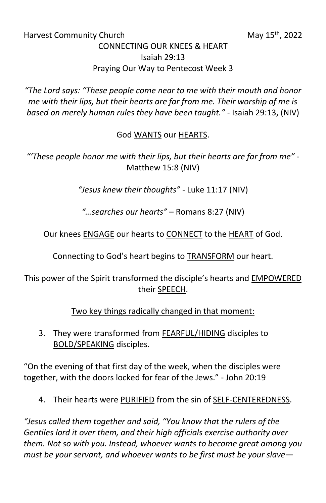## Harvest Community Church May 15<sup>th</sup>, 2022

## CONNECTING OUR KNEES & HEART Isaiah 29:13 Praying Our Way to Pentecost Week 3

*"The Lord says: "These people come near to me with their mouth and honor me with their lips, but their hearts are far from me. Their worship of me is based on merely human rules they have been taught."* - Isaiah 29:13, (NIV)

## God WANTS our HEARTS.

*"'These people honor me with their lips, but their hearts are far from me"* - Matthew 15:8 (NIV)

*"Jesus knew their thoughts"* - Luke 11:17 (NIV)

*"…searches our hearts"* – Romans 8:27 (NIV)

Our knees ENGAGE our hearts to CONNECT to the HEART of God.

Connecting to God's heart begins to TRANSFORM our heart.

This power of the Spirit transformed the disciple's hearts and EMPOWERED their SPEECH.

Two key things radically changed in that moment:

3. They were transformed from FEARFUL/HIDING disciples to BOLD/SPEAKING disciples.

"On the evening of that first day of the week, when the disciples were together, with the doors locked for fear of the Jews." - John 20:19

4. Their hearts were PURIFIED from the sin of SELF-CENTEREDNESS.

*"Jesus called them together and said, "You know that the rulers of the Gentiles lord it over them, and their high officials exercise authority over them. Not so with you. Instead, whoever wants to become great among you must be your servant, and whoever wants to be first must be your slave—*